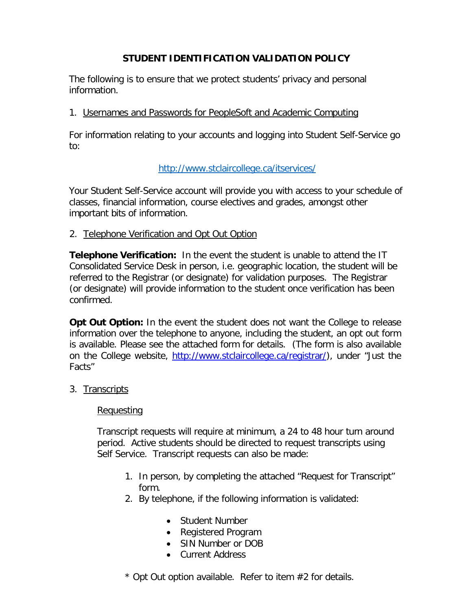# **STUDENT IDENTIFICATION VALIDATION POLICY**

The following is to ensure that we protect students' privacy and personal information.

### 1. Usernames and Passwords for PeopleSoft and Academic Computing

For information relating to your accounts and logging into Student Self-Service go to:

# <http://www.stclaircollege.ca/itservices/>

Your Student Self-Service account will provide you with access to your schedule of classes, financial information, course electives and grades, amongst other important bits of information.

### 2. Telephone Verification and Opt Out Option

**Telephone Verification:** In the event the student is unable to attend the IT Consolidated Service Desk in person, i.e. geographic location, the student will be referred to the Registrar (or designate) for validation purposes. The Registrar (or designate) will provide information to the student once verification has been confirmed.

**Opt Out Option:** In the event the student does not want the College to release information over the telephone to anyone, including the student, an opt out form is available. Please see the attached form for details. (The form is also available on the College website, [http://www.stclaircollege.ca/registrar/\)](http://www.stclaircollege.ca/registrar/), under "Just the Facts"

### 3. Transcripts

### Requesting

Transcript requests will require at minimum, a 24 to 48 hour turn around period. Active students should be directed to request transcripts using Self Service. Transcript requests can also be made:

- 1. In person, by completing the attached "Request for Transcript" form.
- 2. By telephone, if the following information is validated:
	- Student Number
	- Registered Program
	- SIN Number or DOB
	- Current Address

\* Opt Out option available. Refer to item #2 for details.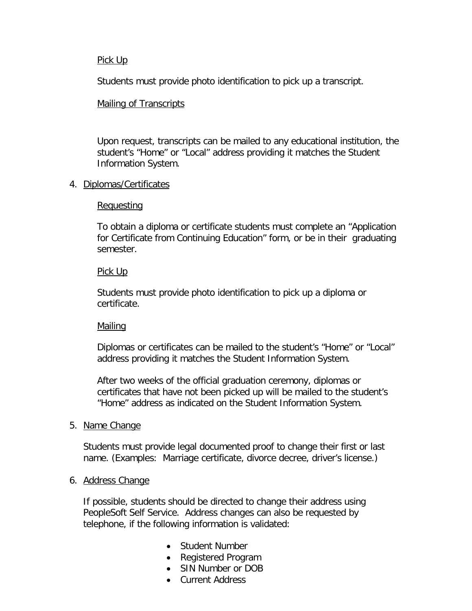#### Pick Up

Students must provide photo identification to pick up a transcript.

### Mailing of Transcripts

Upon request, transcripts can be mailed to any educational institution, the student's "Home" or "Local" address providing it matches the Student Information System.

### 4. Diplomas/Certificates

### **Requesting**

To obtain a diploma or certificate students must complete an "Application for Certificate from Continuing Education" form, or be in their graduating semester.

### Pick Up

Students must provide photo identification to pick up a diploma or certificate.

# **Mailing**

Diplomas or certificates can be mailed to the student's "Home" or "Local" address providing it matches the Student Information System.

After two weeks of the official graduation ceremony, diplomas or certificates that have not been picked up will be mailed to the student's "Home" address as indicated on the Student Information System.

### 5. Name Change

Students must provide legal documented proof to change their first or last name. (Examples: Marriage certificate, divorce decree, driver's license.)

### 6. Address Change

If possible, students should be directed to change their address using PeopleSoft Self Service. Address changes can also be requested by telephone, if the following information is validated:

- Student Number
- Registered Program
- SIN Number or DOB
- Current Address